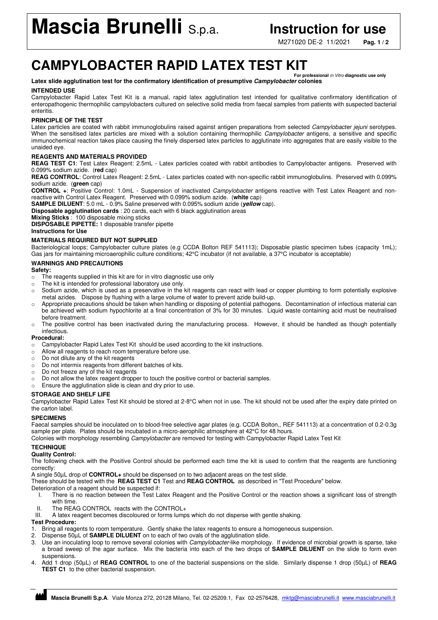M271020 DE-2 11/2021 **Pag. 1 / 2**

## **CAMPYLOBACTER RAPID LATEX TEST KIT**

#### **For professional** in Vitro **diagnostic use only Latex slide agglutination test for the confirmatory identification of presumptive Campylobacter colonies**

#### **INTENDED USE**

Campylobacter Rapid Latex Test Kit is a manual, rapid latex agglutination test intended for qualitative confirmatory identification of enteropathogenic thermophilic campylobacters cultured on selective solid media from faecal samples from patients with suspected bacterial enteritis.

### **PRINCIPLE OF THE TEST**

Latex particles are coated with rabbit immunoglobulins raised against antigen preparations from selected Campylobacter jejuni serotypes. When the sensitised latex particles are mixed with a solution containing thermophilic Campylobacter antigens, a sensitive and specific immunochemical reaction takes place causing the finely dispersed latex particles to agglutinate into aggregates that are easily visible to the unaided eye.

#### **REAGENTS AND MATERIALS PROVIDED**

**REAG TEST C1**: Test Latex Reagent: 2.5mL - Latex particles coated with rabbit antibodies to Campylobacter antigens. Preserved with 0.099% sodium azide. (**red** cap)

REAG CONTROL: Control Latex Reagent: 2.5mL - Latex particles coated with non-specific rabbit immunoglobulins. Preserved with 0.099% sodium azide. (**green** cap)

**CONTROL +**: Positive Control: 1.0mL - Suspension of inactivated Campylobacter antigens reactive with Test Latex Reagent and nonreactive with Control Latex Reagent. Preserved with 0.099% sodium azide. (**white** cap)

**SAMPLE DILUENT**: 5.0 mL - 0.9% Saline preserved with 0.095% sodium azide (**yellow** cap).

**Disposable agglutination cards** : 20 cards, each with 6 black agglutination areas

#### **Mixing Sticks** : 100 disposable mixing sticks

**DISPOSABLE PIPETTE:** 1 disposable transfer pipette

#### **Instructions for Use**

#### **MATERIALS REQUIRED BUT NOT SUPPLIED**

Bacteriological loops; Campylobacter culture plates (e.g CCDA Bolton REF 541113); Disposable plastic specimen tubes (capacity 1mL); Gas jars for maintaining microaerophilic culture conditions; 42°C incubator (if not available, a 37°C incubator is acceptable)

#### **WARNINGS AND PRECAUTIONS**

#### **Safety:**

- o The reagents supplied in this kit are for in vitro diagnostic use only
- o The kit is intended for professional laboratory use only.
- o Sodium azide, which is used as a preservative in the kit reagents can react with lead or copper plumbing to form potentially explosive metal azides. Dispose by flushing with a large volume of water to prevent azide build-up.
- o Appropriate precautions should be taken when handling or disposing of potential pathogens. Decontamination of infectious material can be achieved with sodium hypochlorite at a final concentration of 3% for 30 minutes. Liquid waste containing acid must be neutralised before treatment.
- o The positive control has been inactivated during the manufacturing process. However, it should be handled as though potentially infectious.

#### **Procedural:**

- $\circ$  Campylobacter Rapid Latex Test Kit should be used according to the kit instructions.<br>  $\circ$  Allow all reagents to reach room temperature before use.
- Allow all reagents to reach room temperature before use.
- o Do not dilute any of the kit reagents
- o Do not intermix reagents from different batches of kits.
- o Do not freeze any of the kit reagents
- $\circ$  Do not allow the latex reagent dropper to touch the positive control or bacterial samples.
- o Ensure the agglutination slide is clean and dry prior to use.

#### **STORAGE AND SHELF LIFE**

Campylobacter Rapid Latex Test Kit should be stored at 2-8°C when not in use. The kit should not be used after the expiry date printed on the carton label.

#### **SPECIMENS**

Faecal samples should be inoculated on to blood-free selective agar plates (e.g. CCDA Bolton,, REF 541113) at a concentration of 0.2-0.3g sample per plate. Plates should be incubated in a micro-aerophilic atmosphere at 42°C for 48 hours.

Colonies with morphology resembling Campylobacter are removed for testing with Campylobacter Rapid Latex Test Kit

#### **TECHNIQUE**

#### **Quality Control:**

The following check with the Positive Control should be performed each time the kit is used to confirm that the reagents are functioning correctly:

A single 50µL drop of **CONTROL+** should be dispensed on to two adjacent areas on the test slide.

These should be tested with the **REAG TEST C1** Test and **REAG CONTROL** as described in "Test Procedure" below.

#### Deterioration of a reagent should be suspected if:

- I. There is no reaction between the Test Latex Reagent and the Positive Control or the reaction shows a significant loss of strength with time.
- II. The REAG CONTROL reacts with the CONTROL+<br>III. A latex reagent becomes discoloured or forms lump
- A latex reagent becomes discoloured or forms lumps which do not disperse with gentle shaking.

#### **Test Procedure:**

- 1. Bring all reagents to room temperature. Gently shake the latex reagents to ensure a homogeneous suspension.
- 2. Dispense 50µL of **SAMPLE DILUENT** on to each of two ovals of the agglutination slide.
- 3. Use an inoculating loop to remove several colonies with Campylobacter-like morphology. If evidence of microbial growth is sparse, take a broad sweep of the agar surface. Mix the bacteria into each of the two drops of **SAMPLE DILUENT** on the slide to form even suspensions.
- 4. Add 1 drop (50µL) of **REAG CONTROL** to one of the bacterial suspensions on the slide. Similarly dispense 1 drop (50µL) of **REAG TEST C1** to the other bacterial suspension.